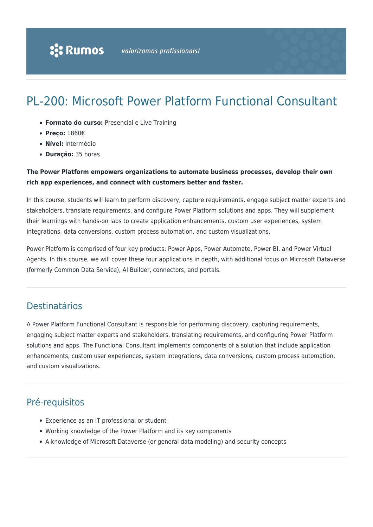# PL-200: Microsoft Power Platform Functional Consultant

- **Formato do curso:** Presencial e Live Training
- **Preço:** 1860€
- **Nível:** Intermédio
- **Duração:** 35 horas

### **The Power Platform empowers organizations to automate business processes, develop their own rich app experiences, and connect with customers better and faster.**

In this course, students will learn to perform discovery, capture requirements, engage subject matter experts and stakeholders, translate requirements, and configure Power Platform solutions and apps. They will supplement their learnings with hands-on labs to create application enhancements, custom user experiences, system integrations, data conversions, custom process automation, and custom visualizations.

Power Platform is comprised of four key products: Power Apps, Power Automate, Power BI, and Power Virtual Agents. In this course, we will cover these four applications in depth, with additional focus on Microsoft Dataverse (formerly Common Data Service), AI Builder, connectors, and portals.

## Destinatários

A Power Platform Functional Consultant is responsible for performing discovery, capturing requirements, engaging subject matter experts and stakeholders, translating requirements, and configuring Power Platform solutions and apps. The Functional Consultant implements components of a solution that include application enhancements, custom user experiences, system integrations, data conversions, custom process automation, and custom visualizations.

# Pré-requisitos

- Experience as an IT professional or student
- Working knowledge of the Power Platform and its key components
- A knowledge of Microsoft Dataverse (or general data modeling) and security concepts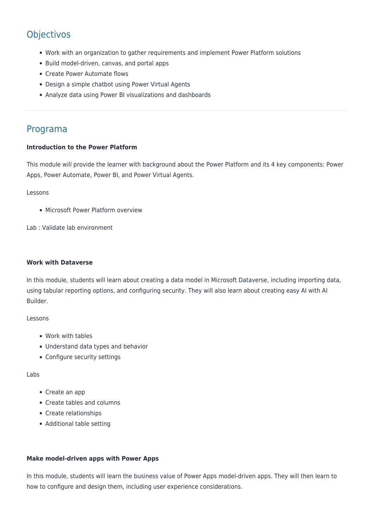# **Objectivos**

- Work with an organization to gather requirements and implement Power Platform solutions
- Build model-driven, canvas, and portal apps
- Create Power Automate flows
- Design a simple chatbot using Power Virtual Agents
- Analyze data using Power BI visualizations and dashboards

### Programa

#### **Introduction to the Power Platform**

This module will provide the learner with background about the Power Platform and its 4 key components: Power Apps, Power Automate, Power BI, and Power Virtual Agents.

#### Lessons

• Microsoft Power Platform overview

Lab : Validate lab environment

#### **Work with Dataverse**

In this module, students will learn about creating a data model in Microsoft Dataverse, including importing data, using tabular reporting options, and configuring security. They will also learn about creating easy AI with AI Builder.

#### Lessons

- Work with tables
- Understand data types and behavior
- Configure security settings

#### Labs

- Create an app
- Create tables and columns
- Create relationships
- Additional table setting

#### **Make model-driven apps with Power Apps**

In this module, students will learn the business value of Power Apps model-driven apps. They will then learn to how to configure and design them, including user experience considerations.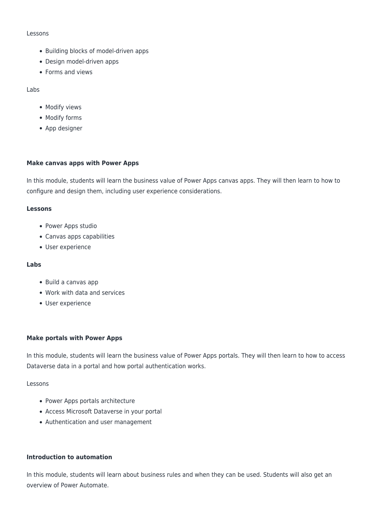#### Lessons

- Building blocks of model-driven apps
- Design model-driven apps
- Forms and views

#### Labs

- Modify views
- Modify forms
- App designer

#### **Make canvas apps with Power Apps**

In this module, students will learn the business value of Power Apps canvas apps. They will then learn to how to configure and design them, including user experience considerations.

#### **Lessons**

- Power Apps studio
- Canvas apps capabilities
- User experience

#### **Labs**

- Build a canvas app
- Work with data and services
- User experience

#### **Make portals with Power Apps**

In this module, students will learn the business value of Power Apps portals. They will then learn to how to access Dataverse data in a portal and how portal authentication works.

#### Lessons

- Power Apps portals architecture
- Access Microsoft Dataverse in your portal
- Authentication and user management

#### **Introduction to automation**

In this module, students will learn about business rules and when they can be used. Students will also get an overview of Power Automate.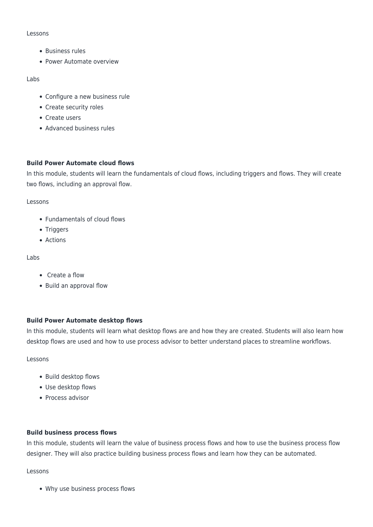#### Lessons

- Business rules
- Power Automate overview

#### Labs

- Configure a new business rule
- Create security roles
- Create users
- Advanced business rules

#### **Build Power Automate cloud flows**

In this module, students will learn the fundamentals of cloud flows, including triggers and flows. They will create two flows, including an approval flow.

#### Lessons

- Fundamentals of cloud flows
- Triggers
- Actions

#### Labs

- Create a flow
- Build an approval flow

#### **Build Power Automate desktop flows**

In this module, students will learn what desktop flows are and how they are created. Students will also learn how desktop flows are used and how to use process advisor to better understand places to streamline workflows.

#### Lessons

- Build desktop flows
- Use desktop flows
- Process advisor

#### **Build business process flows**

In this module, students will learn the value of business process flows and how to use the business process flow designer. They will also practice building business process flows and learn how they can be automated.

#### Lessons

Why use business process flows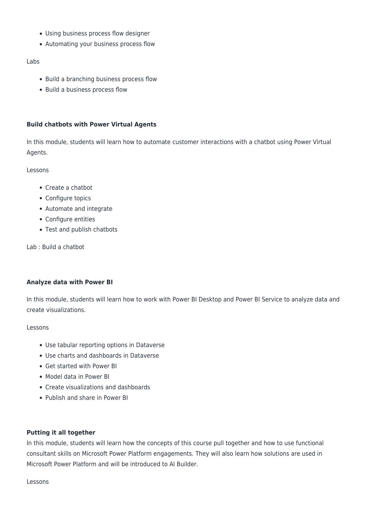- Using business process flow designer
- Automating your business process flow

#### Labs

- Build a branching business process flow
- Build a business process flow

#### **Build chatbots with Power Virtual Agents**

In this module, students will learn how to automate customer interactions with a chatbot using Power Virtual Agents.

Lessons

- Create a chatbot
- Configure topics
- Automate and integrate
- Configure entities
- Test and publish chatbots

Lab : Build a chatbot

#### **Analyze data with Power BI**

In this module, students will learn how to work with Power BI Desktop and Power BI Service to analyze data and create visualizations.

#### Lessons

- Use tabular reporting options in Dataverse
- Use charts and dashboards in Dataverse
- Get started with Power BI
- Model data in Power BI
- Create visualizations and dashboards
- Publish and share in Power BI

#### **Putting it all together**

In this module, students will learn how the concepts of this course pull together and how to use functional consultant skills on Microsoft Power Platform engagements. They will also learn how solutions are used in Microsoft Power Platform and will be introduced to AI Builder.

Lessons